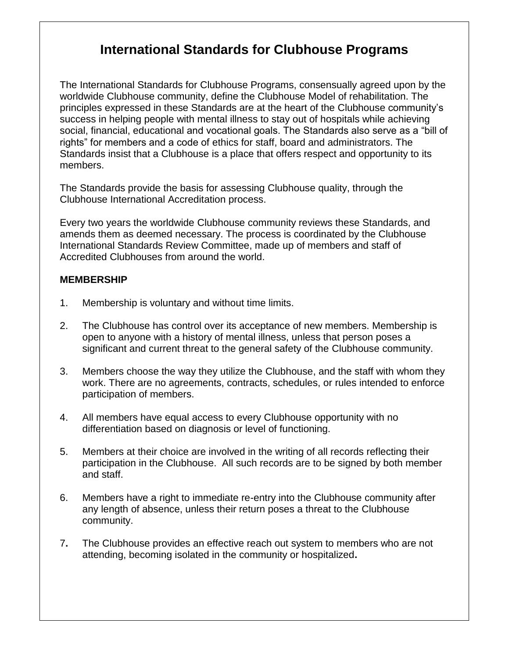# **International Standards for Clubhouse Programs**

The International Standards for Clubhouse Programs, consensually agreed upon by the worldwide Clubhouse community, define the Clubhouse Model of rehabilitation. The principles expressed in these Standards are at the heart of the Clubhouse community's success in helping people with mental illness to stay out of hospitals while achieving social, financial, educational and vocational goals. The Standards also serve as a "bill of rights" for members and a code of ethics for staff, board and administrators. The Standards insist that a Clubhouse is a place that offers respect and opportunity to its members.

The Standards provide the basis for assessing Clubhouse quality, through the Clubhouse International Accreditation process.

Every two years the worldwide Clubhouse community reviews these Standards, and amends them as deemed necessary. The process is coordinated by the Clubhouse International Standards Review Committee, made up of members and staff of Accredited Clubhouses from around the world.

#### **MEMBERSHIP**

- 1. Membership is voluntary and without time limits.
- 2. The Clubhouse has control over its acceptance of new members. Membership is open to anyone with a history of mental illness, unless that person poses a significant and current threat to the general safety of the Clubhouse community.
- 3. Members choose the way they utilize the Clubhouse, and the staff with whom they work. There are no agreements, contracts, schedules, or rules intended to enforce participation of members.
- 4. All members have equal access to every Clubhouse opportunity with no differentiation based on diagnosis or level of functioning.
- 5. Members at their choice are involved in the writing of all records reflecting their participation in the Clubhouse. All such records are to be signed by both member and staff.
- 6. Members have a right to immediate re-entry into the Clubhouse community after any length of absence, unless their return poses a threat to the Clubhouse community.
- 7**.** The Clubhouse provides an effective reach out system to members who are not attending, becoming isolated in the community or hospitalized**.**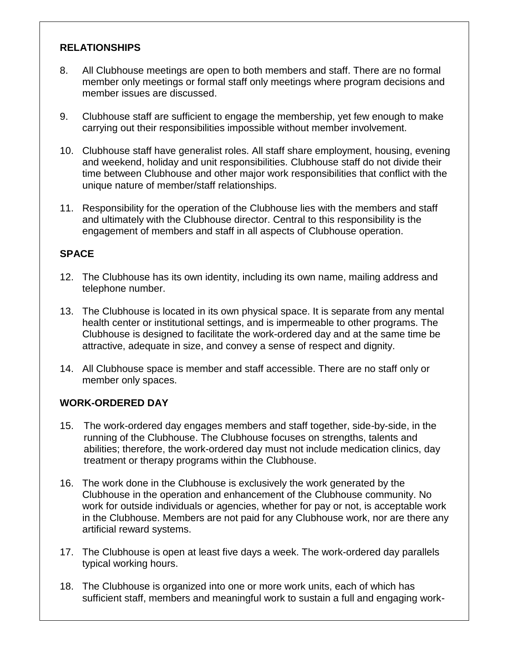## **RELATIONSHIPS**

- 8. All Clubhouse meetings are open to both members and staff. There are no formal member only meetings or formal staff only meetings where program decisions and member issues are discussed.
- 9. Clubhouse staff are sufficient to engage the membership, yet few enough to make carrying out their responsibilities impossible without member involvement.
- 10. Clubhouse staff have generalist roles. All staff share employment, housing, evening and weekend, holiday and unit responsibilities. Clubhouse staff do not divide their time between Clubhouse and other major work responsibilities that conflict with the unique nature of member/staff relationships.
- 11. Responsibility for the operation of the Clubhouse lies with the members and staff and ultimately with the Clubhouse director. Central to this responsibility is the engagement of members and staff in all aspects of Clubhouse operation.

#### **SPACE**

- 12. The Clubhouse has its own identity, including its own name, mailing address and telephone number.
- 13. The Clubhouse is located in its own physical space. It is separate from any mental health center or institutional settings, and is impermeable to other programs. The Clubhouse is designed to facilitate the work-ordered day and at the same time be attractive, adequate in size, and convey a sense of respect and dignity.
- 14. All Clubhouse space is member and staff accessible. There are no staff only or member only spaces.

#### **WORK-ORDERED DAY**

- 15. The work-ordered day engages members and staff together, side-by-side, in the running of the Clubhouse. The Clubhouse focuses on strengths, talents and abilities; therefore, the work-ordered day must not include medication clinics, day treatment or therapy programs within the Clubhouse.
- 16. The work done in the Clubhouse is exclusively the work generated by the Clubhouse in the operation and enhancement of the Clubhouse community. No work for outside individuals or agencies, whether for pay or not, is acceptable work in the Clubhouse. Members are not paid for any Clubhouse work, nor are there any artificial reward systems.
- 17. The Clubhouse is open at least five days a week. The work-ordered day parallels typical working hours.
- 18. The Clubhouse is organized into one or more work units, each of which has sufficient staff, members and meaningful work to sustain a full and engaging work-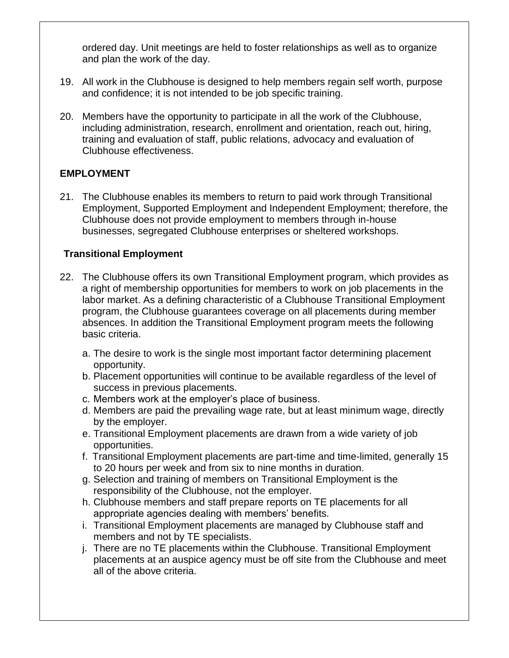ordered day. Unit meetings are held to foster relationships as well as to organize and plan the work of the day.

- 19. All work in the Clubhouse is designed to help members regain self worth, purpose and confidence; it is not intended to be job specific training.
- 20. Members have the opportunity to participate in all the work of the Clubhouse, including administration, research, enrollment and orientation, reach out, hiring, training and evaluation of staff, public relations, advocacy and evaluation of Clubhouse effectiveness.

#### **EMPLOYMENT**

21. The Clubhouse enables its members to return to paid work through Transitional Employment, Supported Employment and Independent Employment; therefore, the Clubhouse does not provide employment to members through in-house businesses, segregated Clubhouse enterprises or sheltered workshops.

## **Transitional Employment**

- 22. The Clubhouse offers its own Transitional Employment program, which provides as a right of membership opportunities for members to work on job placements in the labor market. As a defining characteristic of a Clubhouse Transitional Employment program, the Clubhouse guarantees coverage on all placements during member absences. In addition the Transitional Employment program meets the following basic criteria.
	- a. The desire to work is the single most important factor determining placement opportunity.
	- b. Placement opportunities will continue to be available regardless of the level of success in previous placements.
	- c. Members work at the employer's place of business.
	- d. Members are paid the prevailing wage rate, but at least minimum wage, directly by the employer.
	- e. Transitional Employment placements are drawn from a wide variety of job opportunities.
	- f. Transitional Employment placements are part-time and time-limited, generally 15 to 20 hours per week and from six to nine months in duration.
	- g. Selection and training of members on Transitional Employment is the responsibility of the Clubhouse, not the employer.
	- h. Clubhouse members and staff prepare reports on TE placements for all appropriate agencies dealing with members' benefits.
	- i. Transitional Employment placements are managed by Clubhouse staff and members and not by TE specialists.
	- j. There are no TE placements within the Clubhouse. Transitional Employment placements at an auspice agency must be off site from the Clubhouse and meet all of the above criteria.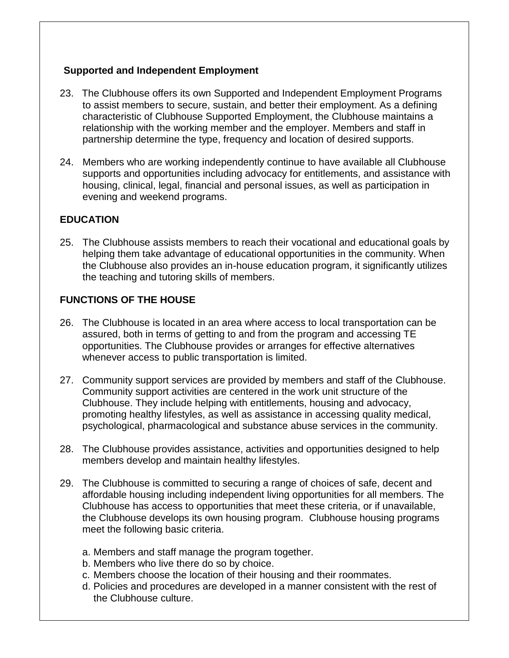## **Supported and Independent Employment**

- 23. The Clubhouse offers its own Supported and Independent Employment Programs to assist members to secure, sustain, and better their employment. As a defining characteristic of Clubhouse Supported Employment, the Clubhouse maintains a relationship with the working member and the employer. Members and staff in partnership determine the type, frequency and location of desired supports.
- 24. Members who are working independently continue to have available all Clubhouse supports and opportunities including advocacy for entitlements, and assistance with housing, clinical, legal, financial and personal issues, as well as participation in evening and weekend programs.

# **EDUCATION**

25. The Clubhouse assists members to reach their vocational and educational goals by helping them take advantage of educational opportunities in the community. When the Clubhouse also provides an in-house education program, it significantly utilizes the teaching and tutoring skills of members.

## **FUNCTIONS OF THE HOUSE**

- 26. The Clubhouse is located in an area where access to local transportation can be assured, both in terms of getting to and from the program and accessing TE opportunities. The Clubhouse provides or arranges for effective alternatives whenever access to public transportation is limited.
- 27. Community support services are provided by members and staff of the Clubhouse. Community support activities are centered in the work unit structure of the Clubhouse. They include helping with entitlements, housing and advocacy, promoting healthy lifestyles, as well as assistance in accessing quality medical, psychological, pharmacological and substance abuse services in the community.
- 28. The Clubhouse provides assistance, activities and opportunities designed to help members develop and maintain healthy lifestyles.
- 29. The Clubhouse is committed to securing a range of choices of safe, decent and affordable housing including independent living opportunities for all members. The Clubhouse has access to opportunities that meet these criteria, or if unavailable, the Clubhouse develops its own housing program. Clubhouse housing programs meet the following basic criteria.
	- a. Members and staff manage the program together.
	- b. Members who live there do so by choice.
	- c. Members choose the location of their housing and their roommates.
	- d. Policies and procedures are developed in a manner consistent with the rest of the Clubhouse culture.